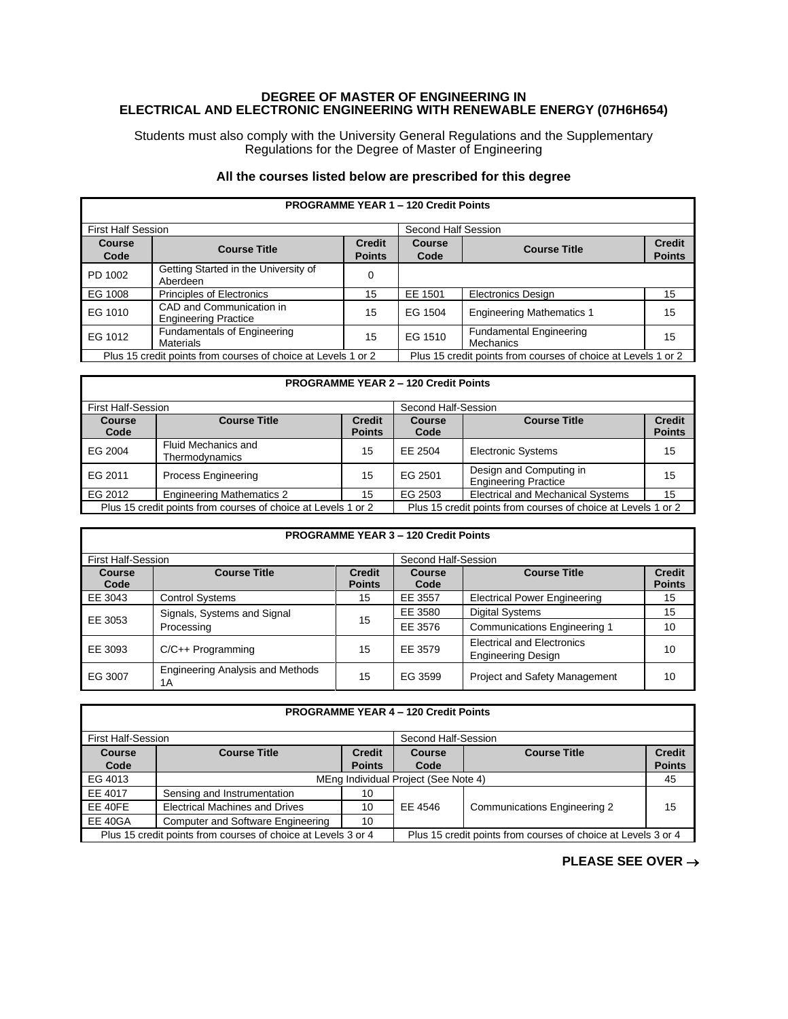## **DEGREE OF MASTER OF ENGINEERING IN ELECTRICAL AND ELECTRONIC ENGINEERING WITH RENEWABLE ENERGY (07H6H654)**

Students must also comply with the University General Regulations and the Supplementary Regulations for the Degree of Master of Engineering

## **All the courses listed below are prescribed for this degree**

**PROGRAMME YEAR 1 – 120 Credit Points**

| FRUGRAMINE TEAR T- IZU CIEUILFUIILS                           |                                                         |                                |                                                               |                                                    |                                |
|---------------------------------------------------------------|---------------------------------------------------------|--------------------------------|---------------------------------------------------------------|----------------------------------------------------|--------------------------------|
| <b>First Half Session</b>                                     |                                                         |                                | Second Half Session                                           |                                                    |                                |
| <b>Course</b><br>Code                                         | <b>Course Title</b>                                     | <b>Credit</b><br><b>Points</b> | <b>Course</b><br>Code                                         | <b>Course Title</b>                                | <b>Credit</b><br><b>Points</b> |
| PD 1002                                                       | Getting Started in the University of<br>Aberdeen        | 0                              |                                                               |                                                    |                                |
| EG 1008                                                       | <b>Principles of Electronics</b>                        | 15                             | EE 1501                                                       | <b>Electronics Design</b>                          | 15                             |
| EG 1010                                                       | CAD and Communication in<br><b>Engineering Practice</b> | 15                             | EG 1504                                                       | <b>Engineering Mathematics 1</b>                   | 15                             |
| EG 1012                                                       | <b>Fundamentals of Engineering</b><br><b>Materials</b>  | 15                             | EG 1510                                                       | <b>Fundamental Engineering</b><br><b>Mechanics</b> | 15                             |
| Plus 15 credit points from courses of choice at Levels 1 or 2 |                                                         |                                | Plus 15 credit points from courses of choice at Levels 1 or 2 |                                                    |                                |

## **PROGRAMME YEAR 2 – 120 Credit Points** First Half-Session Second Half-Session **Course Code Course Title Credit Points Course Code Course Title Credit Points** EG 2004 Fluid Mechanics and<br>Thermodynamics 15 EE 2504 Electronic Systems 15 EG 2011 Process Engineering 15 EG 2501 Design and Computing in Design and Computing in 15 EG 2012 Engineering Mathematics 2 15 EG 2503 Electrical and Mechanical Systems 15 Plus 15 credit points from courses of choice at Levels 1 or 2 Plus 15 credit points from courses of choice at Levels 1 or 2

| <b>PROGRAMME YEAR 3 - 120 Credit Points</b> |                                               |                                |                     |                                                                |                                |
|---------------------------------------------|-----------------------------------------------|--------------------------------|---------------------|----------------------------------------------------------------|--------------------------------|
| <b>First Half-Session</b>                   |                                               |                                | Second Half-Session |                                                                |                                |
| <b>Course</b><br>Code                       | <b>Course Title</b>                           | <b>Credit</b><br><b>Points</b> | Course<br>Code      | <b>Course Title</b>                                            | <b>Credit</b><br><b>Points</b> |
| EE 3043                                     | <b>Control Systems</b>                        | 15                             | EE 3557             | <b>Electrical Power Engineering</b>                            | 15                             |
| EE 3053                                     | Signals, Systems and Signal<br>Processing     | 15                             | EE 3580             | <b>Digital Systems</b>                                         | 15                             |
|                                             |                                               |                                | EE 3576             | <b>Communications Engineering 1</b>                            | 10                             |
| EE 3093                                     | $C/C++$ Programming                           | 15                             | EE 3579             | <b>Electrical and Electronics</b><br><b>Engineering Design</b> | 10                             |
| EG 3007                                     | <b>Engineering Analysis and Methods</b><br>1A | 15                             | EG 3599             | Project and Safety Management                                  | 10                             |

## **PROGRAMME YEAR 4 – 120 Credit Points**

| First Half-Session                                            |                                          |                                                               | Second Half-Session |                                     |               |
|---------------------------------------------------------------|------------------------------------------|---------------------------------------------------------------|---------------------|-------------------------------------|---------------|
| Course                                                        | <b>Course Title</b>                      | <b>Credit</b>                                                 | Course              | <b>Course Title</b>                 | <b>Credit</b> |
| Code                                                          |                                          | <b>Points</b>                                                 | Code                |                                     | <b>Points</b> |
| EG 4013                                                       | MEng Individual Project (See Note 4)     |                                                               |                     | 45                                  |               |
| EE 4017                                                       | Sensing and Instrumentation              | 10                                                            |                     |                                     |               |
| EE 40FE                                                       | <b>Electrical Machines and Drives</b>    | 10                                                            | EE 4546             | <b>Communications Engineering 2</b> | 15            |
| <b>EE 40GA</b>                                                | <b>Computer and Software Engineering</b> | 10                                                            |                     |                                     |               |
| Plus 15 credit points from courses of choice at Levels 3 or 4 |                                          | Plus 15 credit points from courses of choice at Levels 3 or 4 |                     |                                     |               |

**PLEASE SEE OVER** →